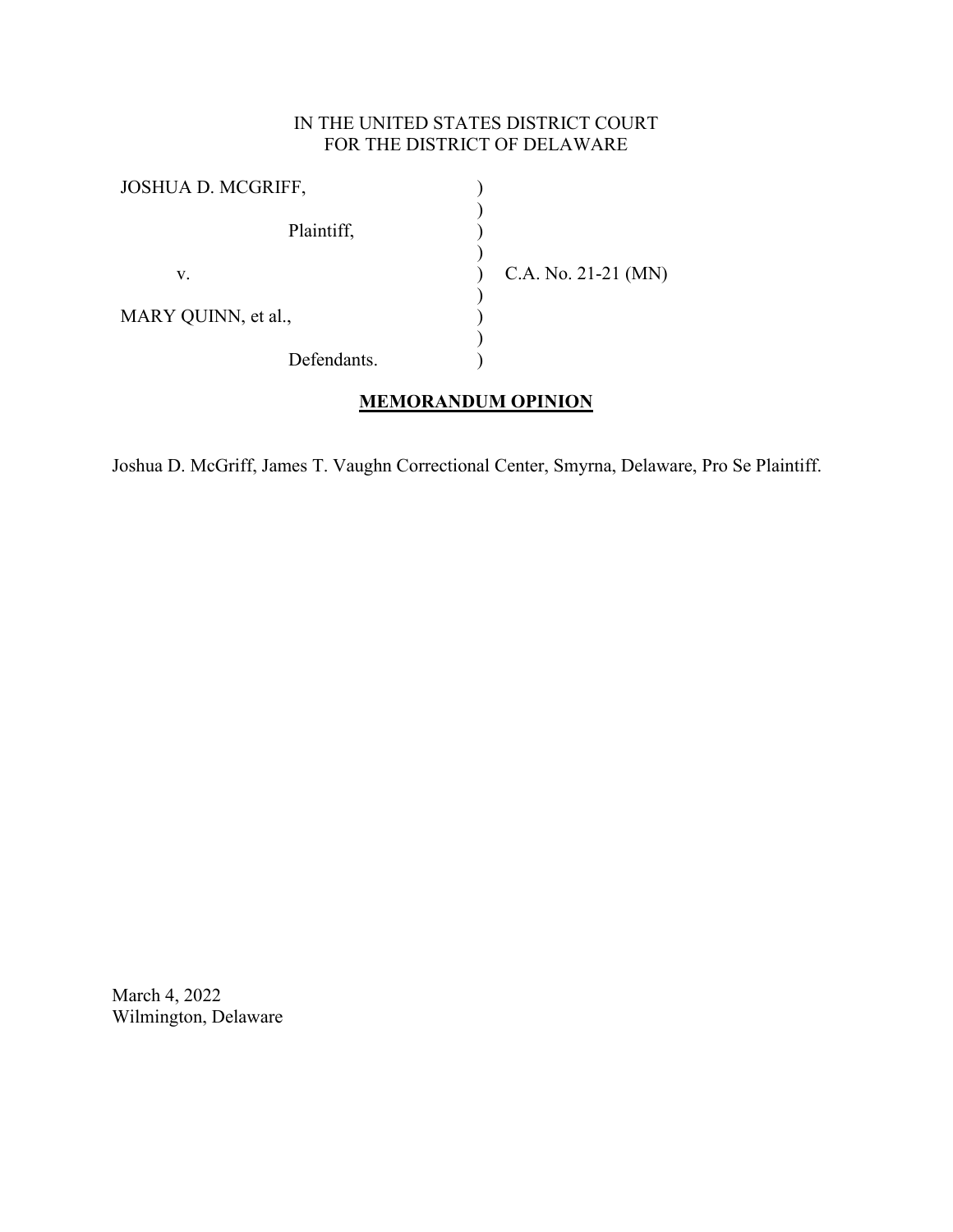## IN THE UNITED STATES DISTRICT COURT FOR THE DISTRICT OF DELAWARE

| JOSHUA D. MCGRIFF,  |                       |
|---------------------|-----------------------|
| Plaintiff,          |                       |
| v.                  | C.A. No. $21-21$ (MN) |
| MARY QUINN, et al., |                       |
| Defendants.         |                       |

# **MEMORANDUM OPINION**

Joshua D. McGriff, James T. Vaughn Correctional Center, Smyrna, Delaware, Pro Se Plaintiff.

March 4, 2022 Wilmington, Delaware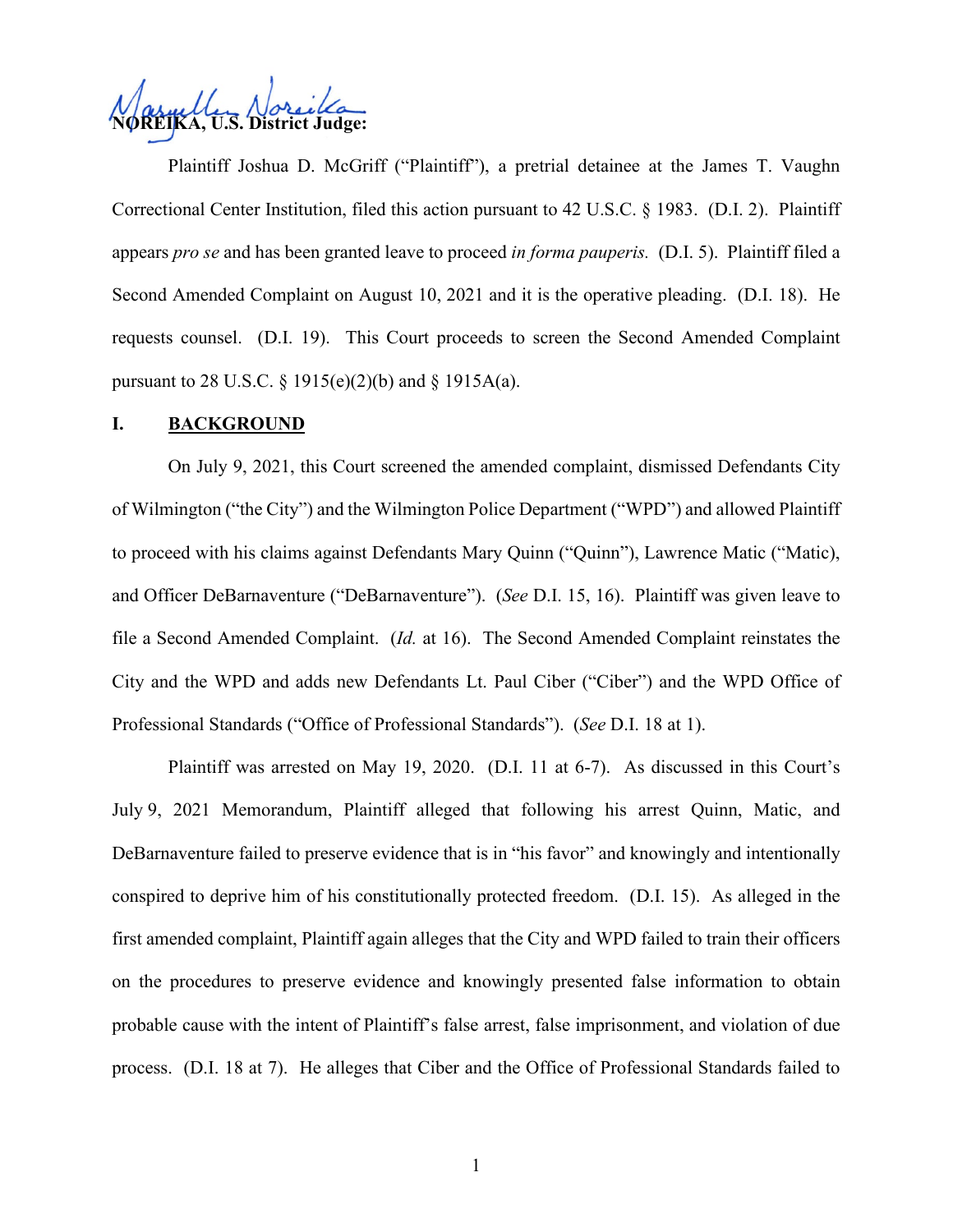**U.S. District Judge:** 

Plaintiff Joshua D. McGriff ("Plaintiff"), a pretrial detainee at the James T. Vaughn Correctional Center Institution, filed this action pursuant to 42 U.S.C. § 1983. (D.I. 2). Plaintiff appears *pro se* and has been granted leave to proceed *in forma pauperis.* (D.I. 5). Plaintiff filed a Second Amended Complaint on August 10, 2021 and it is the operative pleading. (D.I. 18). He requests counsel. (D.I. 19). This Court proceeds to screen the Second Amended Complaint pursuant to 28 U.S.C. § 1915(e)(2)(b) and § 1915A(a).

#### **I. BACKGROUND**

On July 9, 2021, this Court screened the amended complaint, dismissed Defendants City of Wilmington ("the City") and the Wilmington Police Department ("WPD") and allowed Plaintiff to proceed with his claims against Defendants Mary Quinn ("Quinn"), Lawrence Matic ("Matic), and Officer DeBarnaventure ("DeBarnaventure"). (*See* D.I. 15, 16). Plaintiff was given leave to file a Second Amended Complaint. (*Id.* at 16). The Second Amended Complaint reinstates the City and the WPD and adds new Defendants Lt. Paul Ciber ("Ciber") and the WPD Office of Professional Standards ("Office of Professional Standards"). (*See* D.I. 18 at 1).

Plaintiff was arrested on May 19, 2020. (D.I. 11 at 6-7). As discussed in this Court's July 9, 2021 Memorandum, Plaintiff alleged that following his arrest Quinn, Matic, and DeBarnaventure failed to preserve evidence that is in "his favor" and knowingly and intentionally conspired to deprive him of his constitutionally protected freedom. (D.I. 15). As alleged in the first amended complaint, Plaintiff again alleges that the City and WPD failed to train their officers on the procedures to preserve evidence and knowingly presented false information to obtain probable cause with the intent of Plaintiff's false arrest, false imprisonment, and violation of due process. (D.I. 18 at 7). He alleges that Ciber and the Office of Professional Standards failed to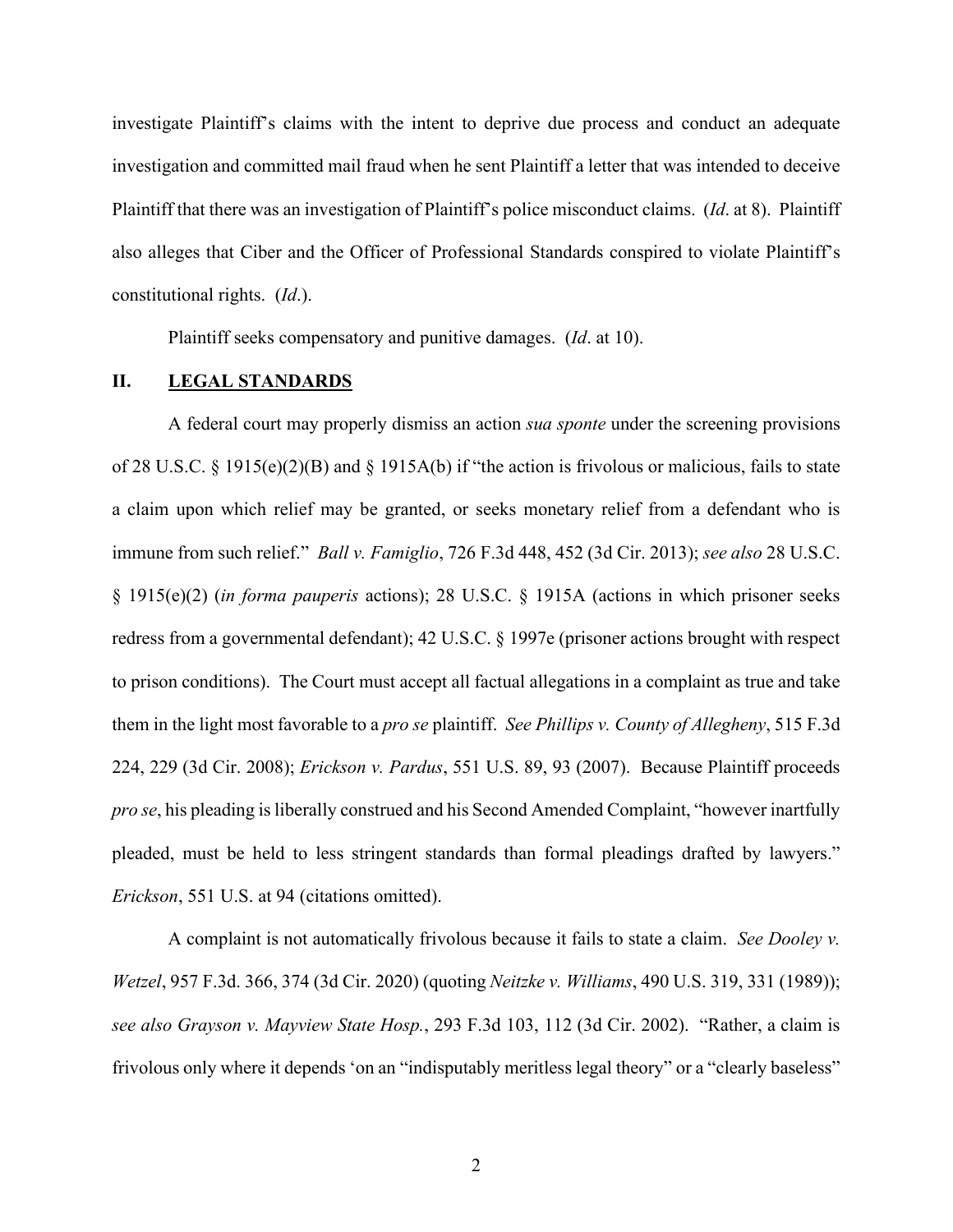investigate Plaintiff's claims with the intent to deprive due process and conduct an adequate investigation and committed mail fraud when he sent Plaintiff a letter that was intended to deceive Plaintiff that there was an investigation of Plaintiff's police misconduct claims. (*Id*. at 8). Plaintiff also alleges that Ciber and the Officer of Professional Standards conspired to violate Plaintiff's constitutional rights. (*Id*.).

Plaintiff seeks compensatory and punitive damages. (*Id*. at 10).

#### **II. LEGAL STANDARDS**

A federal court may properly dismiss an action *sua sponte* under the screening provisions of 28 U.S.C. § 1915(e)(2)(B) and § 1915A(b) if "the action is frivolous or malicious, fails to state a claim upon which relief may be granted, or seeks monetary relief from a defendant who is immune from such relief." *Ball v. Famiglio*, 726 F.3d 448, 452 (3d Cir. 2013); *see also* 28 U.S.C. § 1915(e)(2) (*in forma pauperis* actions); 28 U.S.C. § 1915A (actions in which prisoner seeks redress from a governmental defendant); 42 U.S.C. § 1997e (prisoner actions brought with respect to prison conditions). The Court must accept all factual allegations in a complaint as true and take them in the light most favorable to a *pro se* plaintiff. *See Phillips v. County of Allegheny*, 515 F.3d 224, 229 (3d Cir. 2008); *Erickson v. Pardus*, 551 U.S. 89, 93 (2007). Because Plaintiff proceeds *pro se*, his pleading is liberally construed and his Second Amended Complaint, "however inartfully pleaded, must be held to less stringent standards than formal pleadings drafted by lawyers." *Erickson*, 551 U.S. at 94 (citations omitted).

A complaint is not automatically frivolous because it fails to state a claim. *See Dooley v. Wetzel*, 957 F.3d. 366, 374 (3d Cir. 2020) (quoting *Neitzke v. Williams*, 490 U.S. 319, 331 (1989)); *see also Grayson v. Mayview State Hosp.*, 293 F.3d 103, 112 (3d Cir. 2002). "Rather, a claim is frivolous only where it depends 'on an "indisputably meritless legal theory" or a "clearly baseless"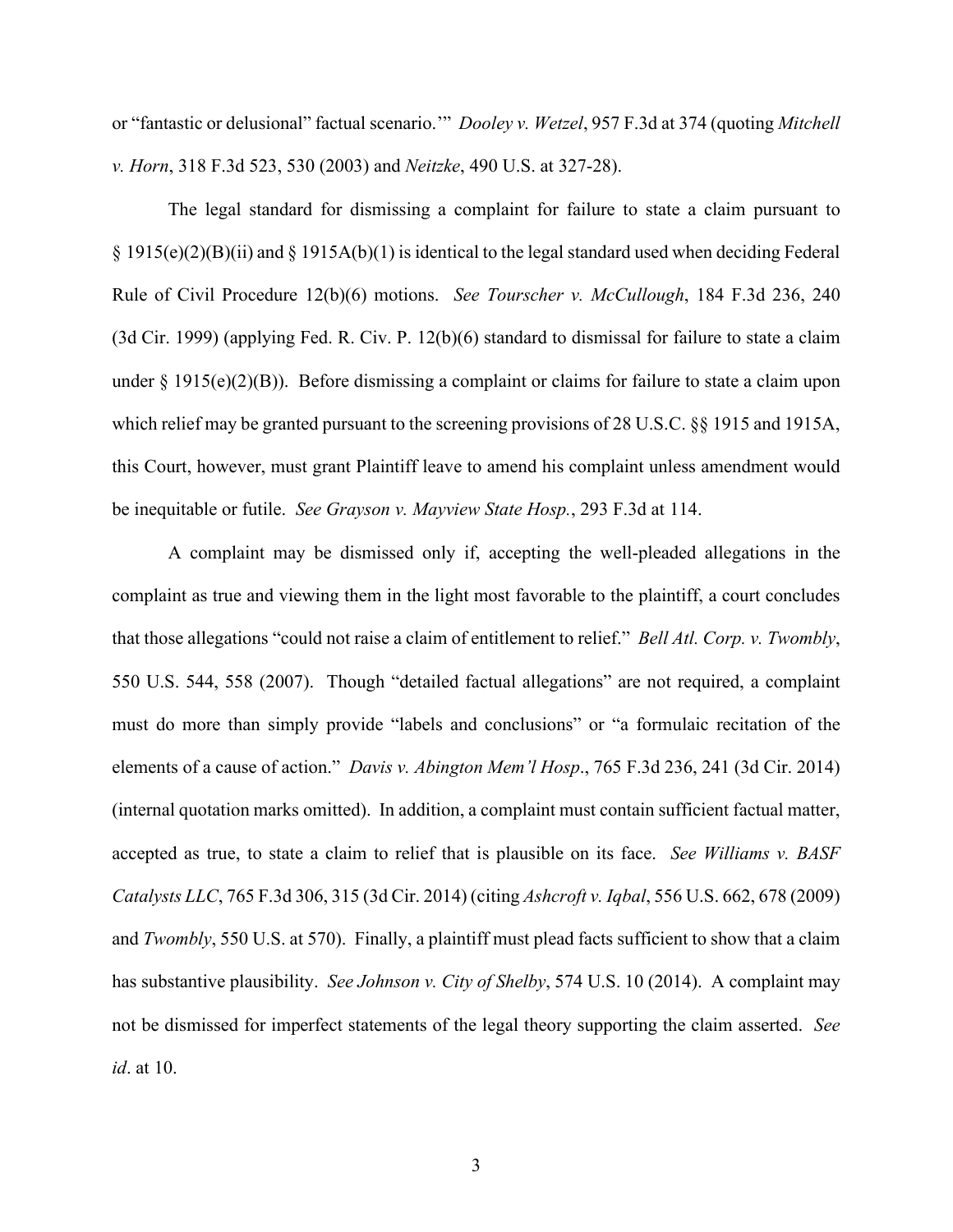or "fantastic or delusional" factual scenario.'" *Dooley v. Wetzel*, 957 F.3d at 374 (quoting *Mitchell v. Horn*, 318 F.3d 523, 530 (2003) and *Neitzke*, 490 U.S. at 327-28).

The legal standard for dismissing a complaint for failure to state a claim pursuant to § 1915(e)(2)(B)(ii) and § 1915A(b)(1) is identical to the legal standard used when deciding Federal Rule of Civil Procedure 12(b)(6) motions. *See Tourscher v. McCullough*, 184 F.3d 236, 240 (3d Cir. 1999) (applying Fed. R. Civ. P. 12(b)(6) standard to dismissal for failure to state a claim under  $\S 1915(e)(2)(B)$ ). Before dismissing a complaint or claims for failure to state a claim upon which relief may be granted pursuant to the screening provisions of 28 U.S.C. §§ 1915 and 1915A, this Court, however, must grant Plaintiff leave to amend his complaint unless amendment would be inequitable or futile. *See Grayson v. Mayview State Hosp.*, 293 F.3d at 114.

A complaint may be dismissed only if, accepting the well-pleaded allegations in the complaint as true and viewing them in the light most favorable to the plaintiff, a court concludes that those allegations "could not raise a claim of entitlement to relief." *Bell Atl. Corp. v. Twombly*, 550 U.S. 544, 558 (2007). Though "detailed factual allegations" are not required, a complaint must do more than simply provide "labels and conclusions" or "a formulaic recitation of the elements of a cause of action." *Davis v. Abington Mem'l Hosp*., 765 F.3d 236, 241 (3d Cir. 2014) (internal quotation marks omitted). In addition, a complaint must contain sufficient factual matter, accepted as true, to state a claim to relief that is plausible on its face. *See Williams v. BASF Catalysts LLC*, 765 F.3d 306, 315 (3d Cir. 2014) (citing *Ashcroft v. Iqbal*, 556 U.S. 662, 678 (2009) and *Twombly*, 550 U.S. at 570). Finally, a plaintiff must plead facts sufficient to show that a claim has substantive plausibility. *See Johnson v. City of Shelby*, 574 U.S. 10 (2014). A complaint may not be dismissed for imperfect statements of the legal theory supporting the claim asserted. *See id*. at 10.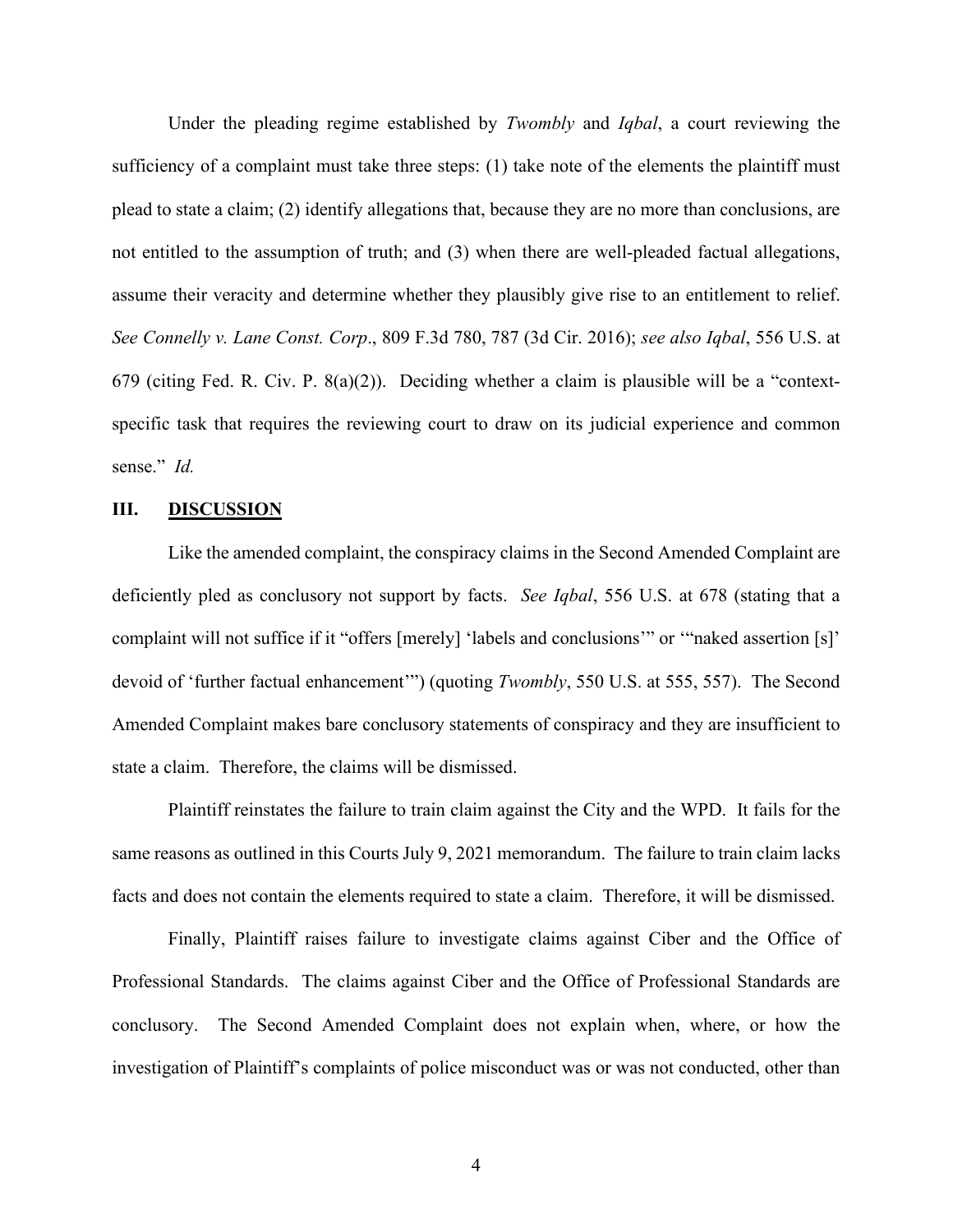Under the pleading regime established by *Twombly* and *Iqbal*, a court reviewing the sufficiency of a complaint must take three steps: (1) take note of the elements the plaintiff must plead to state a claim; (2) identify allegations that, because they are no more than conclusions, are not entitled to the assumption of truth; and (3) when there are well-pleaded factual allegations, assume their veracity and determine whether they plausibly give rise to an entitlement to relief. *See Connelly v. Lane Const. Corp*., 809 F.3d 780, 787 (3d Cir. 2016); *see also Iqbal*, 556 U.S. at 679 (citing Fed. R. Civ. P. 8(a)(2)). Deciding whether a claim is plausible will be a "contextspecific task that requires the reviewing court to draw on its judicial experience and common sense." *Id.*

#### **III. DISCUSSION**

Like the amended complaint, the conspiracy claims in the Second Amended Complaint are deficiently pled as conclusory not support by facts. *See Iqbal*, 556 U.S. at 678 (stating that a complaint will not suffice if it "offers [merely] 'labels and conclusions'" or '"naked assertion [s]' devoid of 'further factual enhancement'") (quoting *Twombly*, 550 U.S. at 555, 557). The Second Amended Complaint makes bare conclusory statements of conspiracy and they are insufficient to state a claim. Therefore, the claims will be dismissed.

Plaintiff reinstates the failure to train claim against the City and the WPD. It fails for the same reasons as outlined in this Courts July 9, 2021 memorandum. The failure to train claim lacks facts and does not contain the elements required to state a claim. Therefore, it will be dismissed.

Finally, Plaintiff raises failure to investigate claims against Ciber and the Office of Professional Standards. The claims against Ciber and the Office of Professional Standards are conclusory. The Second Amended Complaint does not explain when, where, or how the investigation of Plaintiff's complaints of police misconduct was or was not conducted, other than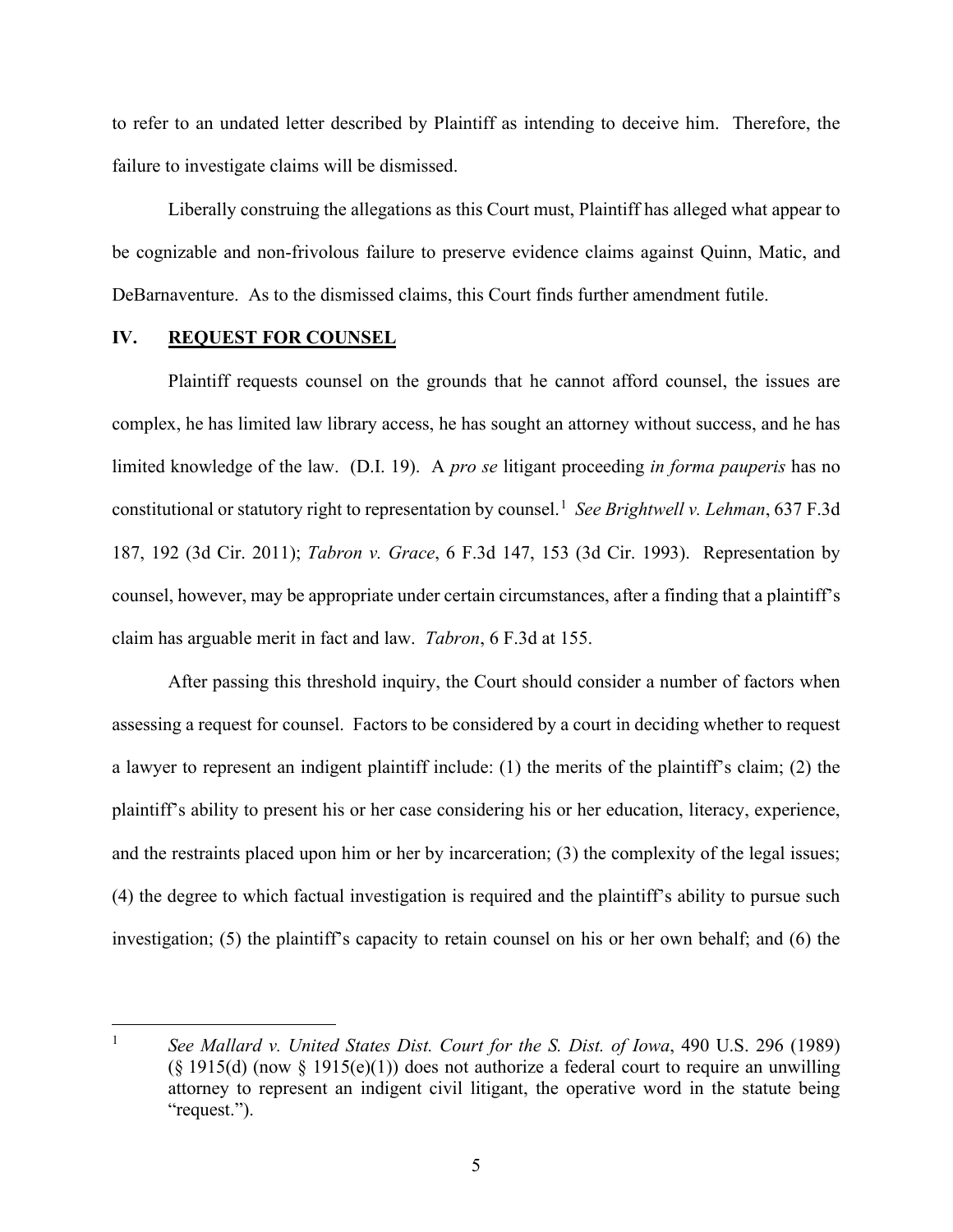to refer to an undated letter described by Plaintiff as intending to deceive him. Therefore, the failure to investigate claims will be dismissed.

Liberally construing the allegations as this Court must, Plaintiff has alleged what appear to be cognizable and non-frivolous failure to preserve evidence claims against Quinn, Matic, and DeBarnaventure. As to the dismissed claims, this Court finds further amendment futile.

### **IV. REQUEST FOR COUNSEL**

Plaintiff requests counsel on the grounds that he cannot afford counsel, the issues are complex, he has limited law library access, he has sought an attorney without success, and he has limited knowledge of the law. (D.I. 19). A *pro se* litigant proceeding *in forma pauperis* has no constitutional or statutory right to representation by counsel.<sup>[1](#page-5-0)</sup> See Brightwell v. Lehman, 637 F.3d 187, 192 (3d Cir. 2011); *Tabron v. Grace*, 6 F.3d 147, 153 (3d Cir. 1993). Representation by counsel, however, may be appropriate under certain circumstances, after a finding that a plaintiff's claim has arguable merit in fact and law. *Tabron*, 6 F.3d at 155.

After passing this threshold inquiry, the Court should consider a number of factors when assessing a request for counsel. Factors to be considered by a court in deciding whether to request a lawyer to represent an indigent plaintiff include: (1) the merits of the plaintiff's claim; (2) the plaintiff's ability to present his or her case considering his or her education, literacy, experience, and the restraints placed upon him or her by incarceration; (3) the complexity of the legal issues; (4) the degree to which factual investigation is required and the plaintiff's ability to pursue such investigation; (5) the plaintiff's capacity to retain counsel on his or her own behalf; and (6) the

<span id="page-5-0"></span><sup>1</sup> *See Mallard v. United States Dist. Court for the S. Dist. of Iowa*, 490 U.S. 296 (1989)  $(\S 1915(d)$  (now  $\S 1915(e)(1)$ ) does not authorize a federal court to require an unwilling attorney to represent an indigent civil litigant, the operative word in the statute being "request.").